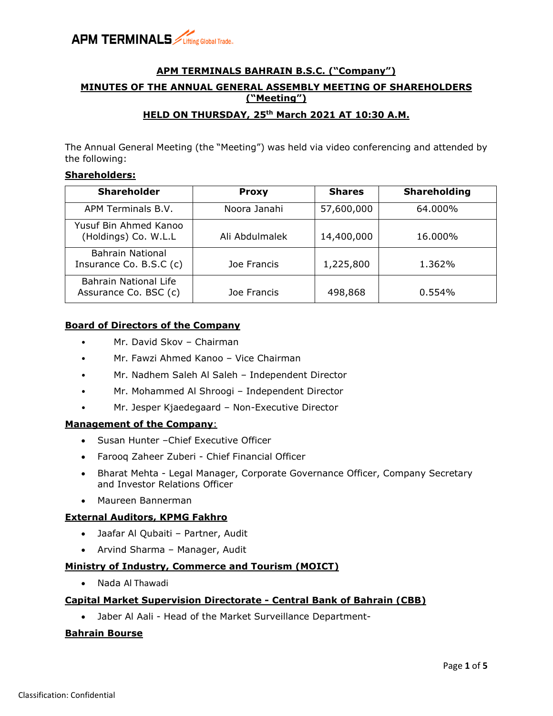

## **APM TERMINALS BAHRAIN B.S.C. ("Company") MINUTES OF THE ANNUAL GENERAL ASSEMBLY MEETING OF SHAREHOLDERS ("Meeting") HELD ON THURSDAY, 25th March 2021 AT 10:30 A.M.**

The Annual General Meeting (the "Meeting") was held via video conferencing and attended by the following:

#### **Shareholders:**

| <b>Shareholder</b>                             | <b>Proxy</b>   | <b>Shares</b> | <b>Shareholding</b> |
|------------------------------------------------|----------------|---------------|---------------------|
| APM Terminals B.V.                             | Noora Janahi   | 57,600,000    | 64.000%             |
| Yusuf Bin Ahmed Kanoo<br>(Holdings) Co. W.L.L  | Ali Abdulmalek | 14,400,000    | 16.000%             |
| Bahrain National<br>Insurance Co. B.S.C (c)    | Joe Francis    | 1,225,800     | 1.362%              |
| Bahrain National Life<br>Assurance Co. BSC (c) | Joe Francis    | 498,868       | 0.554%              |

### **Board of Directors of the Company**

- Mr. David Skov Chairman
- Mr. Fawzi Ahmed Kanoo Vice Chairman
- Mr. Nadhem Saleh Al Saleh Independent Director
- Mr. Mohammed Al Shroogi Independent Director
- Mr. Jesper Kjaedegaard Non-Executive Director

#### **Management of the Company**:

- Susan Hunter –Chief Executive Officer
- Farooq Zaheer Zuberi Chief Financial Officer
- Bharat Mehta Legal Manager, Corporate Governance Officer, Company Secretary and Investor Relations Officer
- Maureen Bannerman

#### **External Auditors, KPMG Fakhro**

- Jaafar Al Qubaiti Partner, Audit
- Arvind Sharma Manager, Audit

#### **Ministry of Industry, Commerce and Tourism (MOICT)**

• Nada Al Thawadi

#### **Capital Market Supervision Directorate - Central Bank of Bahrain (CBB)**

• Jaber Al Aali - Head of the Market Surveillance Department-

#### **Bahrain Bourse**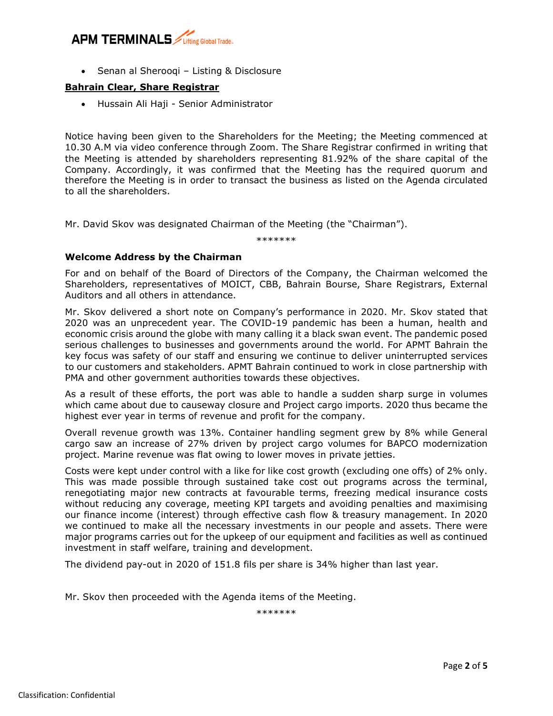## **APM TERMINALS**

• Senan al Sherooqi – Listing & Disclosure

#### **Bahrain Clear, Share Registrar**

• Hussain Ali Haji - Senior Administrator

Notice having been given to the Shareholders for the Meeting; the Meeting commenced at 10.30 A.M via video conference through Zoom. The Share Registrar confirmed in writing that the Meeting is attended by shareholders representing 81.92% of the share capital of the Company. Accordingly, it was confirmed that the Meeting has the required quorum and therefore the Meeting is in order to transact the business as listed on the Agenda circulated to all the shareholders.

Mr. David Skov was designated Chairman of the Meeting (the "Chairman").

\*\*\*\*\*\*\*

### **Welcome Address by the Chairman**

For and on behalf of the Board of Directors of the Company, the Chairman welcomed the Shareholders, representatives of MOICT, CBB, Bahrain Bourse, Share Registrars, External Auditors and all others in attendance.

Mr. Skov delivered a short note on Company's performance in 2020. Mr. Skov stated that 2020 was an unprecedent year. The COVID-19 pandemic has been a human, health and economic crisis around the globe with many calling it a black swan event. The pandemic posed serious challenges to businesses and governments around the world. For APMT Bahrain the key focus was safety of our staff and ensuring we continue to deliver uninterrupted services to our customers and stakeholders. APMT Bahrain continued to work in close partnership with PMA and other government authorities towards these objectives.

As a result of these efforts, the port was able to handle a sudden sharp surge in volumes which came about due to causeway closure and Project cargo imports. 2020 thus became the highest ever year in terms of revenue and profit for the company.

Overall revenue growth was 13%. Container handling segment grew by 8% while General cargo saw an increase of 27% driven by project cargo volumes for BAPCO modernization project. Marine revenue was flat owing to lower moves in private jetties.

Costs were kept under control with a like for like cost growth (excluding one offs) of 2% only. This was made possible through sustained take cost out programs across the terminal, renegotiating major new contracts at favourable terms, freezing medical insurance costs without reducing any coverage, meeting KPI targets and avoiding penalties and maximising our finance income (interest) through effective cash flow & treasury management. In 2020 we continued to make all the necessary investments in our people and assets. There were major programs carries out for the upkeep of our equipment and facilities as well as continued investment in staff welfare, training and development.

The dividend pay-out in 2020 of 151.8 fils per share is 34% higher than last year.

Mr. Skov then proceeded with the Agenda items of the Meeting.

\*\*\*\*\*\*\*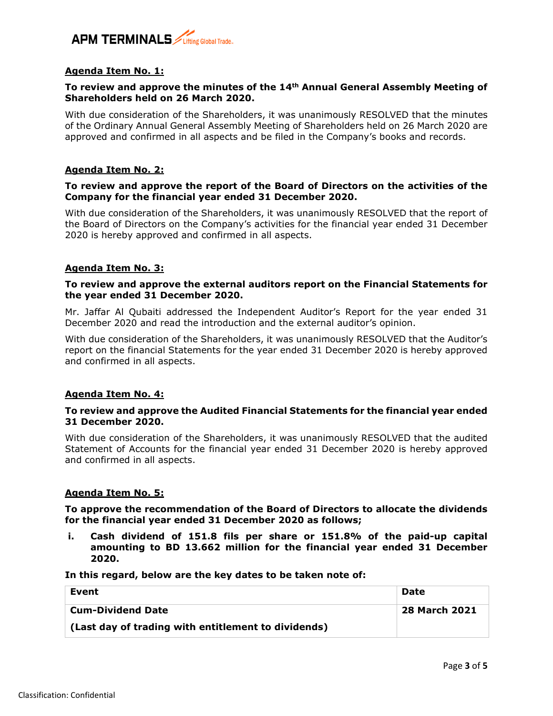

#### **Agenda Item No. 1:**

#### **To review and approve the minutes of the 14th Annual General Assembly Meeting of Shareholders held on 26 March 2020.**

With due consideration of the Shareholders, it was unanimously RESOLVED that the minutes of the Ordinary Annual General Assembly Meeting of Shareholders held on 26 March 2020 are approved and confirmed in all aspects and be filed in the Company's books and records.

#### **Agenda Item No. 2:**

#### **To review and approve the report of the Board of Directors on the activities of the Company for the financial year ended 31 December 2020.**

With due consideration of the Shareholders, it was unanimously RESOLVED that the report of the Board of Directors on the Company's activities for the financial year ended 31 December 2020 is hereby approved and confirmed in all aspects.

#### **Agenda Item No. 3:**

#### **To review and approve the external auditors report on the Financial Statements for the year ended 31 December 2020.**

Mr. Jaffar Al Qubaiti addressed the Independent Auditor's Report for the year ended 31 December 2020 and read the introduction and the external auditor's opinion.

With due consideration of the Shareholders, it was unanimously RESOLVED that the Auditor's report on the financial Statements for the year ended 31 December 2020 is hereby approved and confirmed in all aspects.

#### **Agenda Item No. 4:**

#### **To review and approve the Audited Financial Statements for the financial year ended 31 December 2020.**

With due consideration of the Shareholders, it was unanimously RESOLVED that the audited Statement of Accounts for the financial year ended 31 December 2020 is hereby approved and confirmed in all aspects.

#### **Agenda Item No. 5:**

**To approve the recommendation of the Board of Directors to allocate the dividends for the financial year ended 31 December 2020 as follows;**

**i. Cash dividend of 151.8 fils per share or 151.8% of the paid-up capital amounting to BD 13.662 million for the financial year ended 31 December 2020.**

**In this regard, below are the key dates to be taken note of:**

| Event                                               | Date                 |
|-----------------------------------------------------|----------------------|
| <b>Cum-Dividend Date</b>                            | <b>28 March 2021</b> |
| (Last day of trading with entitlement to dividends) |                      |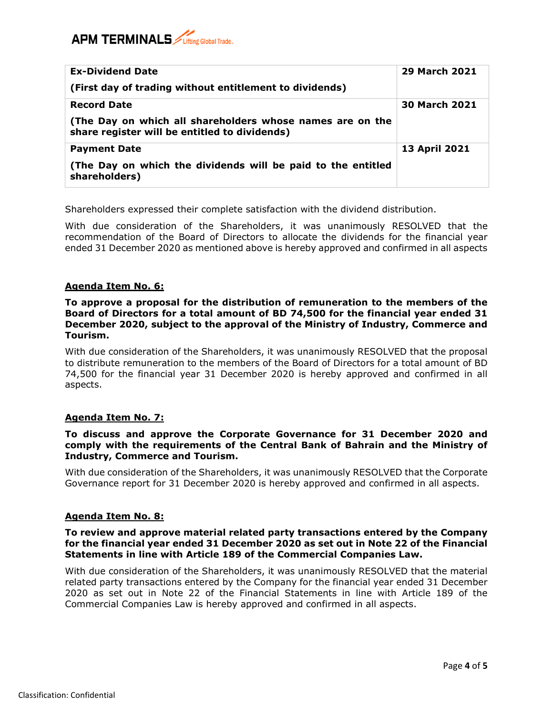# **APM TERMINALS** *Lifting Global Trade.*

| <b>Ex-Dividend Date</b>                                                                                    | <b>29 March 2021</b> |
|------------------------------------------------------------------------------------------------------------|----------------------|
| (First day of trading without entitlement to dividends)                                                    |                      |
| <b>Record Date</b>                                                                                         | <b>30 March 2021</b> |
| (The Day on which all shareholders whose names are on the<br>share register will be entitled to dividends) |                      |
| <b>Payment Date</b>                                                                                        | <b>13 April 2021</b> |
| (The Day on which the dividends will be paid to the entitled<br>shareholders)                              |                      |

Shareholders expressed their complete satisfaction with the dividend distribution.

With due consideration of the Shareholders, it was unanimously RESOLVED that the recommendation of the Board of Directors to allocate the dividends for the financial year ended 31 December 2020 as mentioned above is hereby approved and confirmed in all aspects

### **Agenda Item No. 6:**

#### **To approve a proposal for the distribution of remuneration to the members of the Board of Directors for a total amount of BD 74,500 for the financial year ended 31 December 2020, subject to the approval of the Ministry of Industry, Commerce and Tourism.**

With due consideration of the Shareholders, it was unanimously RESOLVED that the proposal to distribute remuneration to the members of the Board of Directors for a total amount of BD 74,500 for the financial year 31 December 2020 is hereby approved and confirmed in all aspects.

#### **Agenda Item No. 7:**

#### **To discuss and approve the Corporate Governance for 31 December 2020 and comply with the requirements of the Central Bank of Bahrain and the Ministry of Industry, Commerce and Tourism.**

With due consideration of the Shareholders, it was unanimously RESOLVED that the Corporate Governance report for 31 December 2020 is hereby approved and confirmed in all aspects.

#### **Agenda Item No. 8:**

#### **To review and approve material related party transactions entered by the Company for the financial year ended 31 December 2020 as set out in Note 22 of the Financial Statements in line with Article 189 of the Commercial Companies Law.**

With due consideration of the Shareholders, it was unanimously RESOLVED that the material related party transactions entered by the Company for the financial year ended 31 December 2020 as set out in Note 22 of the Financial Statements in line with Article 189 of the Commercial Companies Law is hereby approved and confirmed in all aspects.